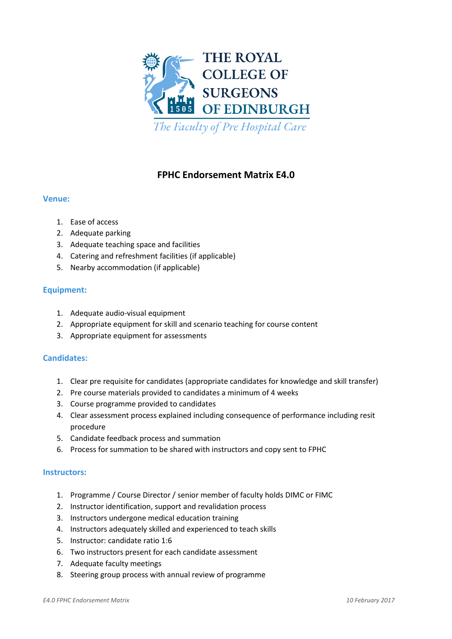

# **FPHC Endorsement Matrix E4.0**

## **Venue:**

- 1. Ease of access
- 2. Adequate parking
- 3. Adequate teaching space and facilities
- 4. Catering and refreshment facilities (if applicable)
- 5. Nearby accommodation (if applicable)

### **Equipment:**

- 1. Adequate audio-visual equipment
- 2. Appropriate equipment for skill and scenario teaching for course content
- 3. Appropriate equipment for assessments

### **Candidates:**

- 1. Clear pre requisite for candidates (appropriate candidates for knowledge and skill transfer)
- 2. Pre course materials provided to candidates a minimum of 4 weeks
- 3. Course programme provided to candidates
- 4. Clear assessment process explained including consequence of performance including resit procedure
- 5. Candidate feedback process and summation
- 6. Process for summation to be shared with instructors and copy sent to FPHC

### **Instructors:**

- 1. Programme / Course Director / senior member of faculty holds DIMC or FIMC
- 2. Instructor identification, support and revalidation process
- 3. Instructors undergone medical education training
- 4. Instructors adequately skilled and experienced to teach skills
- 5. Instructor: candidate ratio 1:6
- 6. Two instructors present for each candidate assessment
- 7. Adequate faculty meetings
- 8. Steering group process with annual review of programme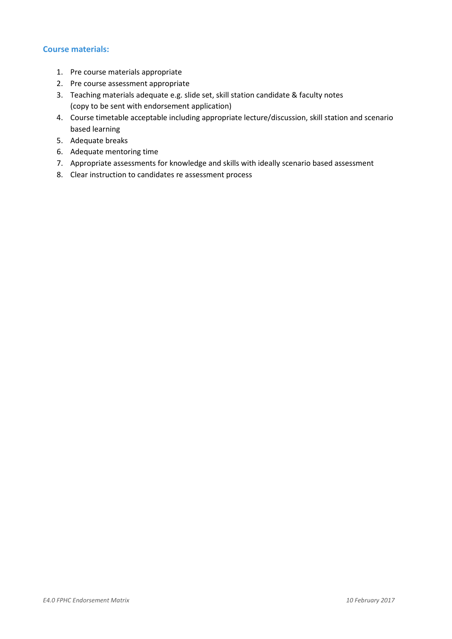### **Course materials:**

- 1. Pre course materials appropriate
- 2. Pre course assessment appropriate
- 3. Teaching materials adequate e.g. slide set, skill station candidate & faculty notes (copy to be sent with endorsement application)
- 4. Course timetable acceptable including appropriate lecture/discussion, skill station and scenario based learning
- 5. Adequate breaks
- 6. Adequate mentoring time
- 7. Appropriate assessments for knowledge and skills with ideally scenario based assessment
- 8. Clear instruction to candidates re assessment process